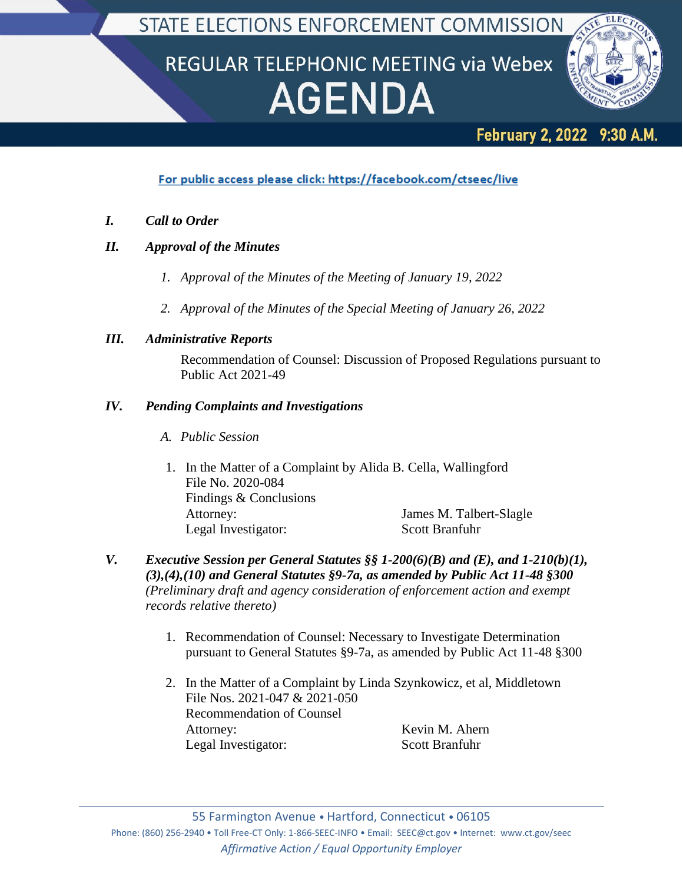STATE ELECTIONS ENFORCEMENT COMMISSION

## REGULAR TELEPHONIC MEETING via Webex **AGENDA**



## February 2, 2022 9:30 A.M.

For public access please click: https://facebook.com/ctseec/live

- *I. Call to Order*
- *II. Approval of the Minutes*
	- *1. Approval of the Minutes of the Meeting of January 19, 2022*
	- *2. Approval of the Minutes of the Special Meeting of January 26, 2022*

## *III. Administrative Reports*

Recommendation of Counsel: Discussion of Proposed Regulations pursuant to Public Act 2021-49

## *IV. Pending Complaints and Investigations*

- *A. Public Session*
- 1. In the Matter of a Complaint by Alida B. Cella, Wallingford File No. 2020-084 Findings & Conclusions Attorney: James M. Talbert-Slagle Legal Investigator: Scott Branfuhr
- *V. Executive Session per General Statutes §§ 1-200(6)(B) and (E), and 1-210(b)(1), (3),(4),(10) and General Statutes §9-7a, as amended by Public Act 11-48 §300 (Preliminary draft and agency consideration of enforcement action and exempt records relative thereto)*
	- 1. Recommendation of Counsel: Necessary to Investigate Determination pursuant to General Statutes §9-7a, as amended by Public Act 11-48 §300
	- 2. In the Matter of a Complaint by Linda Szynkowicz, et al, Middletown File Nos. 2021-047 & 2021-050 Recommendation of Counsel Attorney: Kevin M. Ahern Legal Investigator: Scott Branfuhr